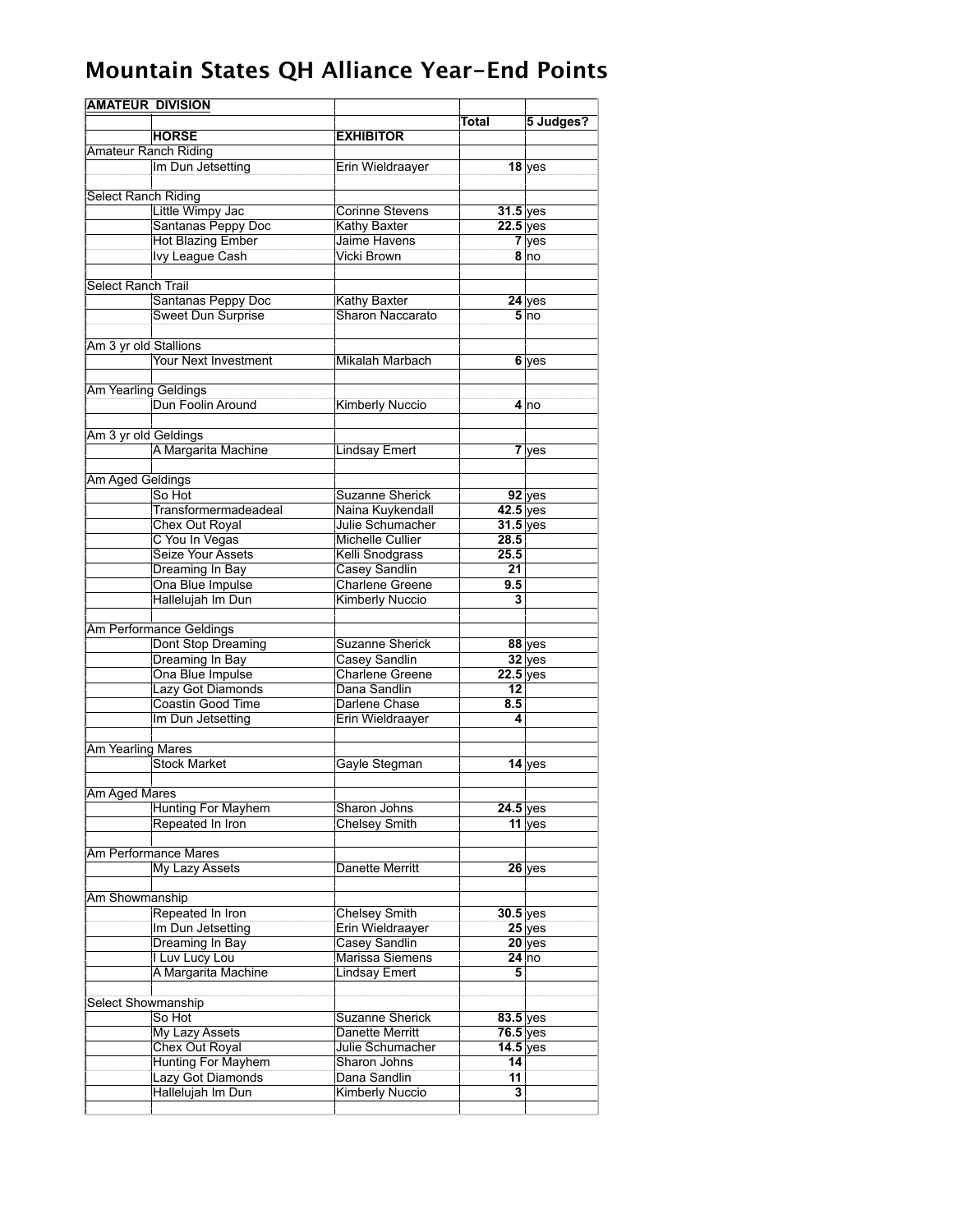| <b>AMATEUR DIVISION</b>     |                          |                         |                         |           |
|-----------------------------|--------------------------|-------------------------|-------------------------|-----------|
|                             |                          |                         | Total                   | 5 Judges? |
|                             | <b>HORSE</b>             | <b>EXHIBITOR</b>        |                         |           |
| <b>Amateur Ranch Riding</b> |                          |                         |                         |           |
|                             | Im Dun Jetsetting        | Erin Wieldraayer        |                         | $18$ yes  |
|                             |                          |                         |                         |           |
| <b>Select Ranch Riding</b>  |                          |                         |                         |           |
|                             | Little Wimpy Jac         | <b>Corinne Stevens</b>  | $31.5$ yes              |           |
|                             | Santanas Peppy Doc       | <b>Kathy Baxter</b>     | $22.5$ yes              |           |
|                             | <b>Hot Blazing Ember</b> | Jaime Havens            |                         | 7 yes     |
|                             | <b>Ivy League Cash</b>   | Vicki Brown             |                         | 8 no      |
|                             |                          |                         |                         |           |
| Select Ranch Trail          |                          |                         |                         |           |
|                             | Santanas Peppy Doc       | <b>Kathy Baxter</b>     |                         | $24$ yes  |
|                             | Sweet Dun Surprise       | Sharon Naccarato        |                         | 5 no      |
|                             |                          |                         |                         |           |
| Am 3 yr old Stallions       |                          |                         |                         |           |
|                             | Your Next Investment     | Mikalah Marbach         |                         | 6 yes     |
|                             |                          |                         |                         |           |
| Am Yearling Geldings        |                          |                         |                         |           |
|                             | Dun Foolin Around        | Kimberly Nuccio         |                         | 4 Ino     |
|                             |                          |                         |                         |           |
| Am 3 yr old Geldings        |                          |                         |                         |           |
|                             | A Margarita Machine      | <b>Lindsay Emert</b>    |                         | 7 yes     |
|                             |                          |                         |                         |           |
| Am Aged Geldings            |                          |                         |                         |           |
|                             | So Hot                   | <b>Suzanne Sherick</b>  |                         | $92$ yes  |
|                             | Transformermadeadeal     | Naina Kuykendall        | $42.5$ yes              |           |
|                             | <b>Chex Out Royal</b>    | Julie Schumacher        | $31.5$ yes              |           |
|                             | C You In Vegas           | <b>Michelle Cullier</b> | 28.5                    |           |
|                             | Seize Your Assets        | Kelli Snodgrass         | 25.5                    |           |
|                             | Dreaming In Bay          | Casey Sandlin           | 21                      |           |
|                             | Ona Blue Impulse         | <b>Charlene Greene</b>  | 9.5                     |           |
|                             | Hallelujah Im Dun        | <b>Kimberly Nuccio</b>  | 3                       |           |
|                             |                          |                         |                         |           |
|                             | Am Performance Geldings  |                         |                         |           |
|                             | Dont Stop Dreaming       | <b>Suzanne Sherick</b>  |                         | $88$ yes  |
|                             | Dreaming In Bay          | <b>Casey Sandlin</b>    |                         | $32$ yes  |
|                             | Ona Blue Impulse         | <b>Charlene Greene</b>  | $22.5$ yes              |           |
|                             | Lazy Got Diamonds        | Dana Sandlin            | 12 <sub>1</sub>         |           |
|                             | Coastin Good Time        | Darlene Chase           | 8.5                     |           |
|                             | Im Dun Jetsetting        | Erin Wieldraayer        | 4                       |           |
|                             |                          |                         |                         |           |
| Am Yearling Mares           |                          |                         |                         |           |
|                             | <b>Stock Market</b>      | Gayle Stegman           |                         | $14$ yes  |
|                             |                          |                         |                         |           |
| Am Aged Mares               |                          |                         |                         |           |
|                             | Hunting For Mayhem       | Sharon Johns            | $24.5$ yes              |           |
|                             | Repeated In Iron         | Chelsey Smith           |                         | $11$ yes  |
|                             |                          |                         |                         |           |
|                             | Am Performance Mares     |                         |                         |           |
|                             | My Lazy Assets           | Danette Merritt         |                         | $26$ yes  |
|                             |                          |                         |                         |           |
| Am Showmanship              |                          |                         |                         |           |
|                             | Repeated In Iron         | Chelsey Smith           | $30.5$ yes              |           |
|                             | Im Dun Jetsetting        | Erin Wieldraayer        |                         | $25$ yes  |
|                             | Dreaming In Bay          | Casey Sandlin           |                         | $20$ yes  |
|                             | I Luv Lucy Lou           | Marissa Siemens         |                         | $24$ no   |
|                             | A Margarita Machine      | <b>Lindsay Emert</b>    | 5                       |           |
|                             |                          |                         |                         |           |
| Select Showmanship          |                          |                         |                         |           |
|                             | So Hot                   | Suzanne Sherick         | $83.5$ yes              |           |
|                             | My Lazy Assets           | Danette Merritt         | $76.5$ yes              |           |
|                             | Chex Out Royal           | Julie Schumacher        | 14.5 yes                |           |
|                             | Hunting For Mayhem       | Sharon Johns            | 14                      |           |
|                             | Lazy Got Diamonds        | Dana Sandlin            | 11                      |           |
|                             | Hallelujah Im Dun        | <b>Kimberly Nuccio</b>  | $\overline{\mathbf{3}}$ |           |
|                             |                          |                         |                         |           |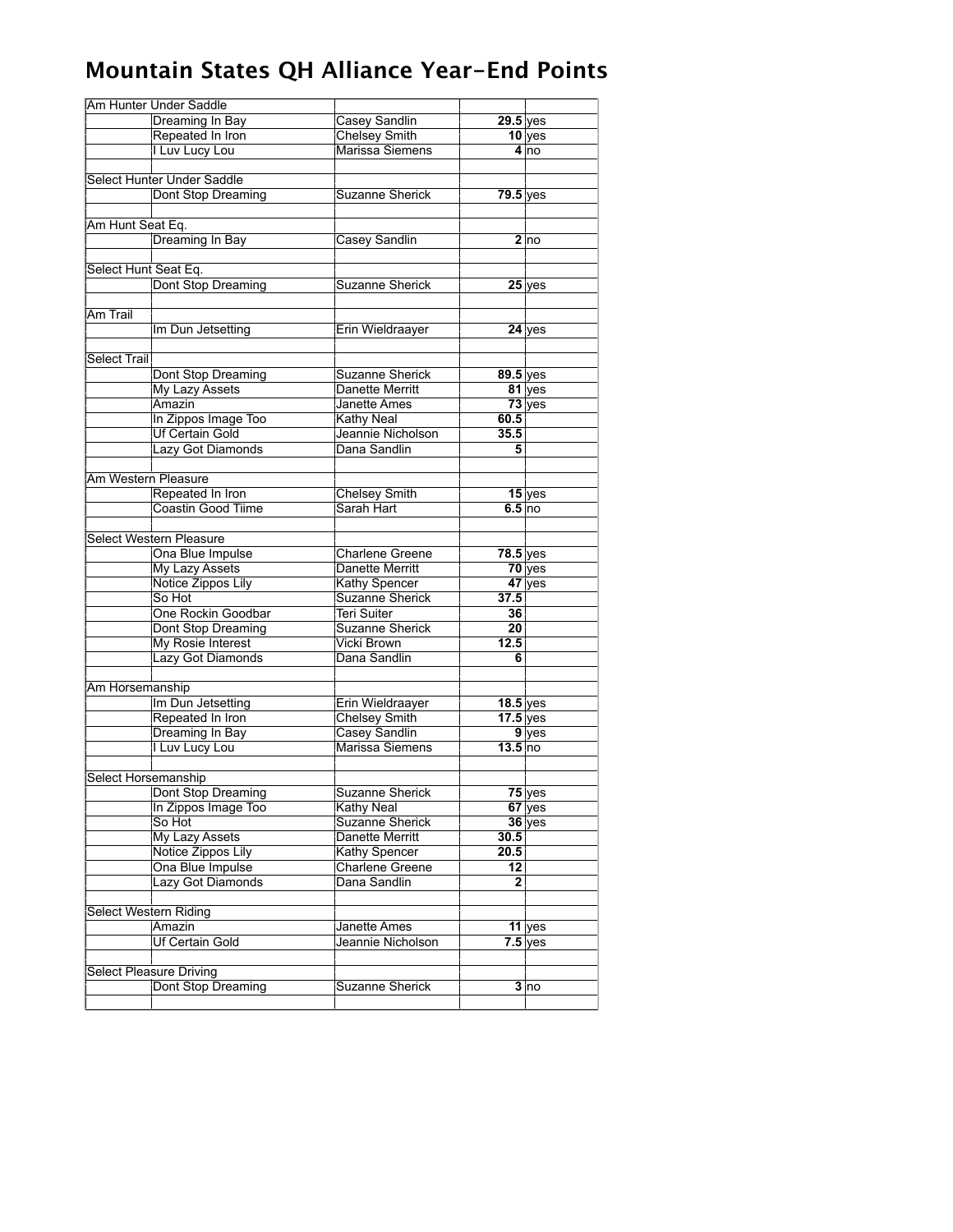| Am Hunter Under Saddle |                                     |                                                |              |           |  |
|------------------------|-------------------------------------|------------------------------------------------|--------------|-----------|--|
|                        | Dreaming In Bay                     | Casey Sandlin                                  | $29.5$ yes   |           |  |
|                        | Repeated In Iron                    | <b>Chelsey Smith</b>                           |              | $10$ yes  |  |
|                        | I Luv Lucy Lou                      | Marissa Siemens                                |              | 4 no      |  |
|                        |                                     |                                                |              |           |  |
|                        | Select Hunter Under Saddle          |                                                |              |           |  |
|                        | Dont Stop Dreaming                  | <b>Suzanne Sherick</b>                         | $79.5$ yes   |           |  |
|                        |                                     |                                                |              |           |  |
| Am Hunt Seat Eq.       |                                     |                                                |              |           |  |
|                        | Dreaming In Bay                     | Casey Sandlin                                  |              | 2 no      |  |
|                        |                                     |                                                |              |           |  |
| Select Hunt Seat Eq.   |                                     |                                                |              |           |  |
|                        | Dont Stop Dreaming                  | <b>Suzanne Sherick</b>                         |              | $25$ yes  |  |
| Am Trail               |                                     |                                                |              |           |  |
|                        | Im Dun Jetsetting                   | Erin Wieldraayer                               |              | $24$ yes  |  |
|                        |                                     |                                                |              |           |  |
| Select Trail           |                                     |                                                |              |           |  |
|                        | Dont Stop Dreaming                  | <b>Suzanne Sherick</b>                         | 89.5 yes     |           |  |
|                        | My Lazy Assets                      | Danette Merritt                                |              | $81$ yes  |  |
|                        | Amazin                              | Janette Ames                                   |              | $73$ yes  |  |
|                        | In Zippos Image Too                 | Kathy Neal                                     | 60.5         |           |  |
|                        | <b>Uf Certain Gold</b>              | Jeannie Nicholson                              | 35.5         |           |  |
|                        | Lazy Got Diamonds                   | Dana Sandlin                                   | 5            |           |  |
|                        |                                     |                                                |              |           |  |
| Am Western Pleasure    |                                     |                                                |              |           |  |
|                        | Repeated In Iron                    | <b>Chelsey Smith</b>                           |              | $15$ yes  |  |
|                        | <b>Coastin Good Tiime</b>           | Sarah Hart                                     | 6.5 no       |           |  |
|                        |                                     |                                                |              |           |  |
|                        | Select Western Pleasure             |                                                |              |           |  |
|                        | Ona Blue Impulse                    | <b>Charlene Greene</b>                         | $78.5$ yes   |           |  |
|                        | <b>My Lazy Assets</b>               | Danette Merritt                                |              | $70$ yes  |  |
|                        | <b>Notice Zippos Lily</b><br>So Hot | <b>Kathy Spencer</b><br><b>Suzanne Sherick</b> | 37.5         | 47 yes    |  |
|                        | One Rockin Goodbar                  | <b>Teri Suiter</b>                             | 36           |           |  |
|                        | Dont Stop Dreaming                  | <b>Suzanne Sherick</b>                         | 20           |           |  |
|                        | My Rosie Interest                   | Vicki Brown                                    | 12.5         |           |  |
|                        | Lazy Got Diamonds                   | Dana Sandlin                                   | 6            |           |  |
|                        |                                     |                                                |              |           |  |
| Am Horsemanship        |                                     |                                                |              |           |  |
|                        | Im Dun Jetsetting                   | Erin Wieldraayer                               | $18.5$ yes   |           |  |
|                        | Repeated In Iron                    | <b>Chelsey Smith</b>                           | $17.5$ yes   |           |  |
|                        | <b>Dreaming In Bay</b>              | Casey Sandlin                                  |              | 9 yes     |  |
|                        | I Luv Lucy Lou                      | Marissa Siemens                                | $13.5$ no    |           |  |
|                        |                                     |                                                |              |           |  |
| Select Horsemanship    |                                     |                                                |              |           |  |
|                        | Dont Stop Dreaming                  | <b>Suzanne Sherick</b>                         |              | $75$ yes  |  |
|                        | In Zippos Image Too                 | Kathy Neal                                     |              | 67 yes    |  |
|                        | So Hot                              | <b>Suzanne Sherick</b>                         |              | $36$ yes  |  |
|                        | <b>My Lazy Assets</b>               | <b>Danette Merritt</b>                         | 30.5         |           |  |
|                        | Notice Zippos Lily                  | <b>Kathy Spencer</b>                           | 20.5         |           |  |
|                        | Ona Blue Impulse                    | Charlene Greene                                | 12           |           |  |
|                        | Lazy Got Diamonds                   | Dana Sandlin                                   | $\mathbf{2}$ |           |  |
| Select Western Riding  |                                     |                                                |              |           |  |
|                        | Amazin                              | Janette Ames                                   |              | $11$ yes  |  |
|                        | Uf Certain Gold                     | Jeannie Nicholson                              |              | $7.5$ yes |  |
|                        |                                     |                                                |              |           |  |
|                        | <b>Select Pleasure Driving</b>      |                                                |              |           |  |
|                        | Dont Stop Dreaming                  | Suzanne Sherick                                |              | 3 no      |  |
|                        |                                     |                                                |              |           |  |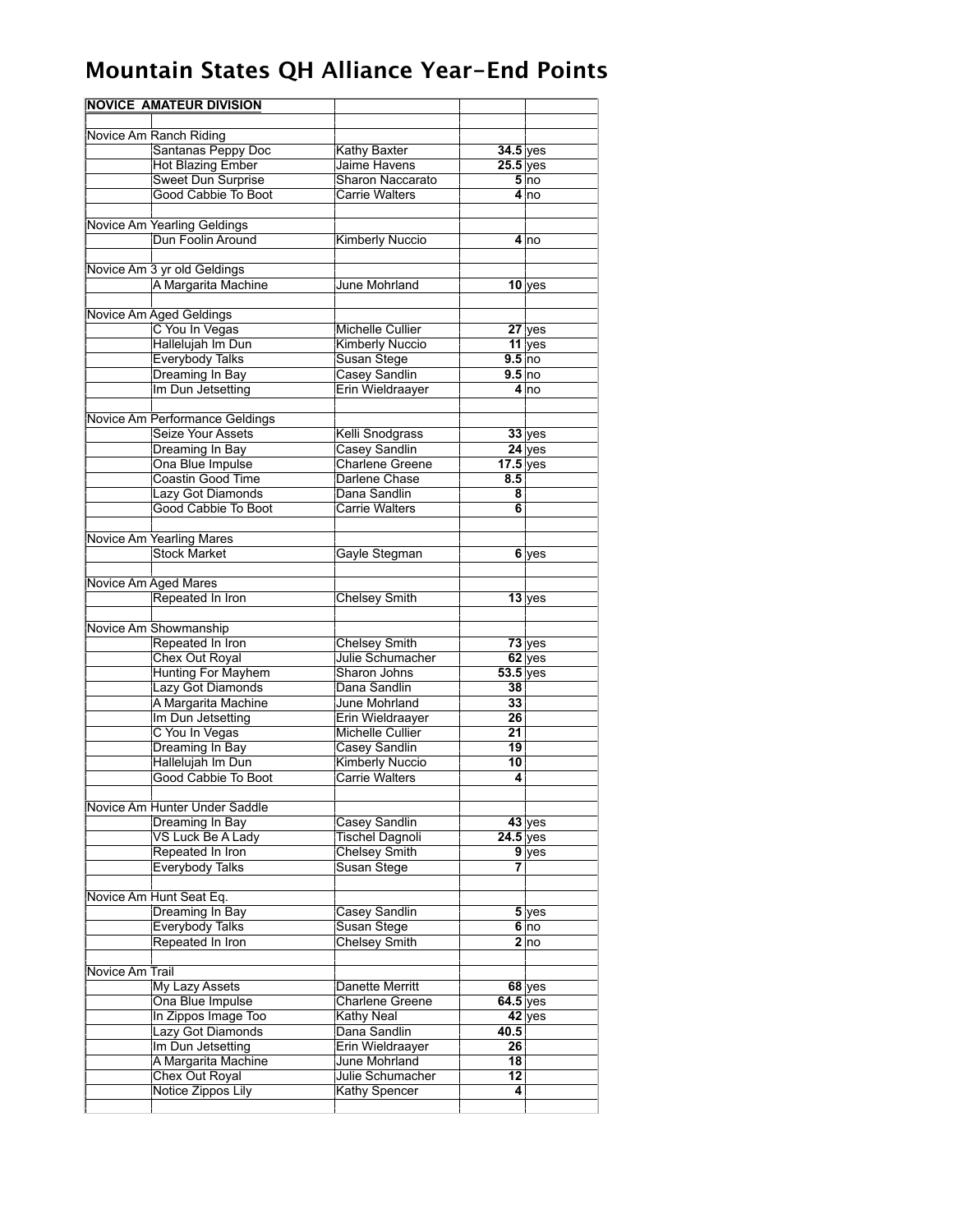|                 | <b>NOVICE AMATEUR DIVISION</b>                  |                                  |                  |                    |
|-----------------|-------------------------------------------------|----------------------------------|------------------|--------------------|
|                 | Novice Am Ranch Riding                          |                                  |                  |                    |
|                 | Santanas Peppy Doc                              | <b>Kathy Baxter</b>              | $34.5$ yes       |                    |
|                 | <b>Hot Blazing Ember</b>                        | Jaime Havens                     | $25.5$ yes       |                    |
|                 | Sweet Dun Surprise                              | <b>Sharon Naccarato</b>          |                  | 5 <sub>no</sub>    |
|                 | <b>Good Cabbie To Boot</b>                      | Carrie Walters                   |                  | 4 <sub>no</sub>    |
|                 | Novice Am Yearling Geldings                     |                                  |                  |                    |
|                 | Dun Foolin Around                               | <b>Kimberly Nuccio</b>           |                  | 4 no               |
|                 | Novice Am 3 yr old Geldings                     |                                  |                  |                    |
|                 | A Margarita Machine                             | June Mohrland                    |                  | $10$ yes           |
|                 |                                                 |                                  |                  |                    |
|                 | Novice Am Aged Geldings                         |                                  |                  |                    |
|                 | C You In Vegas                                  | Michelle Cullier                 |                  | $27$ yes           |
|                 | Hallelujah Im Dun                               | <b>Kimberly Nuccio</b>           |                  | $11$ yes           |
|                 | <b>Everybody Talks</b>                          | Susan Stege                      | 9.5 no           |                    |
|                 | Dreaming In Bay                                 | Casey Sandlin                    | $9.5$ no         |                    |
|                 | Im Dun Jetsetting                               | Erin Wieldraayer                 |                  | $4 \text{ln}$      |
|                 | Novice Am Performance Geldings                  |                                  |                  |                    |
|                 | Seize Your Assets                               | Kelli Snodgrass                  |                  | $33$ yes           |
|                 | Dreaming In Bay                                 | Casey Sandlin                    |                  | $24$ yes           |
|                 | Ona Blue Impulse                                | <b>Charlene Greene</b>           | $17.5$ yes       |                    |
|                 | <b>Coastin Good Time</b>                        | Darlene Chase                    | 8.5              |                    |
|                 | Lazy Got Diamonds                               | Dana Sandlin                     | 8                |                    |
|                 | Good Cabbie To Boot                             | Carrie Walters                   | 6                |                    |
|                 |                                                 |                                  |                  |                    |
|                 | Novice Am Yearling Mares<br><b>Stock Market</b> |                                  |                  |                    |
|                 |                                                 | Gayle Stegman                    |                  | 6 yes              |
|                 | Novice Am Aged Mares                            |                                  |                  |                    |
|                 | Repeated In Iron                                | <b>Chelsey Smith</b>             |                  | $13$ yes           |
|                 |                                                 |                                  |                  |                    |
|                 | Novice Am Showmanship                           |                                  |                  |                    |
|                 | Repeated In Iron                                | <b>Chelsey Smith</b>             |                  | $73$ yes           |
|                 | <b>Chex Out Royal</b>                           | Julie Schumacher<br>Sharon Johns |                  | $62$ yes           |
|                 | <b>Hunting For Mayhem</b><br>Lazy Got Diamonds  | Dana Sandlin                     | $53.5$ yes<br>38 |                    |
|                 | A Margarita Machine                             | June Mohrland                    | 33               |                    |
|                 | Im Dun Jetsetting                               | Erin Wieldraaver                 | 26               |                    |
|                 | C You In Vegas                                  | <b>Michelle Cullier</b>          | 21               |                    |
|                 | Dreaming In Bay                                 | Casey Sandlin                    | 19               |                    |
|                 | Hallelujah Im Dun                               | <b>Kimberly Nuccio</b>           | 10               |                    |
|                 | Good Cabbie To Boot                             | <b>Carrie Walters</b>            | 4                |                    |
|                 |                                                 |                                  |                  |                    |
|                 | Novice Am Hunter Under Saddle                   |                                  |                  |                    |
|                 | Dreaming In Bay                                 | Casey Sandlin                    |                  | $43$ yes           |
|                 | VS Luck Be A Lady                               | Tischel Dagnoli                  | $24.5$ yes       |                    |
|                 | Repeated In Iron                                | <b>Chelsey Smith</b>             |                  | $9$ yes            |
|                 | <b>Everybody Talks</b>                          | Susan Stege                      | 7                |                    |
|                 | Novice Am Hunt Seat Eq.                         |                                  |                  |                    |
|                 | Dreaming In Bay                                 | Casey Sandlin                    |                  | $\overline{5}$ yes |
|                 | <b>Everybody Talks</b>                          | Susan Stege                      |                  | 6 no               |
|                 | Repeated In Iron                                | <b>Chelsey Smith</b>             |                  | 2 no               |
| Novice Am Trail |                                                 |                                  |                  |                    |
|                 | <b>My Lazy Assets</b>                           | Danette Merritt                  |                  | $68$ yes           |
|                 | Ona Blue Impulse                                | <b>Charlene Greene</b>           | $64.5$ yes       |                    |
|                 | In Zippos Image Too                             | Kathy Neal                       |                  | $42$ yes           |
|                 | Lazy Got Diamonds                               | Dana Sandlin                     | 40.5             |                    |
|                 | Im Dun Jetsetting                               | Erin Wieldraayer                 | 26               |                    |
|                 | A Margarita Machine                             | June Mohrland                    | 18               |                    |
|                 | <b>Chex Out Royal</b>                           | Julie Schumacher                 | 12               |                    |
|                 | Notice Zippos Lily                              | Kathy Spencer                    | 4                |                    |
|                 |                                                 |                                  |                  |                    |